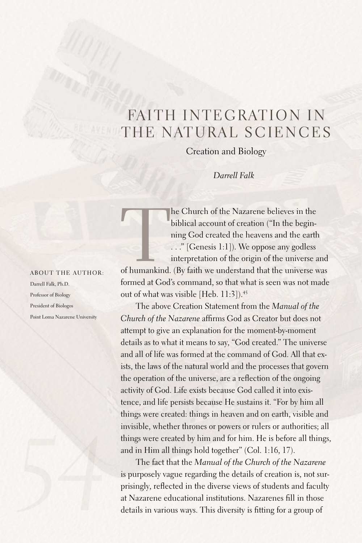## FAITH INTEGRATION IN THE NATURAL SCIENCES

Creation and Biology

*Darrell Falk*

he Church of the Nazarene believes in the biblical account of creation ("In the begin-<br>ning God created the heavens and the earth<br>..." [Genesis 1:1]). We oppose any godless<br>interpretation of the origin of the universe and<br> biblical account of creation ("In the beginning God created the heavens and the earth ..." [Genesis 1:1]). We oppose any godless interpretation of the origin of the universe and

formed at God's command, so that what is seen was not made out of what was visible [Heb. 11:3]). 45

The above Creation Statement from the *Manual of the Church of the Nazarene* affirms God as Creator but does not attempt to give an explanation for the moment-by-moment details as to what it means to say, "God created." The universe and all of life was formed at the command of God.All that exists, the laws of the natural world and the processes that govern the operation of the universe, are a reflection of the ongoing activity of God.Life exists because God called it into existence, and life persists because He sustains it. "For by him all things were created: things in heaven and on earth, visible and invisible, whether thrones or powers or rulers or authorities; all things were created by him and for him. He is before all things, and in Him all things hold together" (Col. 1:16, 17).

The fact that the *Manual of the Church of the Nazarene* is purposely vague regarding the details of creation is, not surprisingly, reflected in the diverse views of students and faculty at Nazarene educational institutions. Nazarenes fill in those details in various ways. This diversity is fitting for a group of

About the author: Darrell Falk, Ph.D. Professor of Biology President of Biologos Point Loma Nazarene University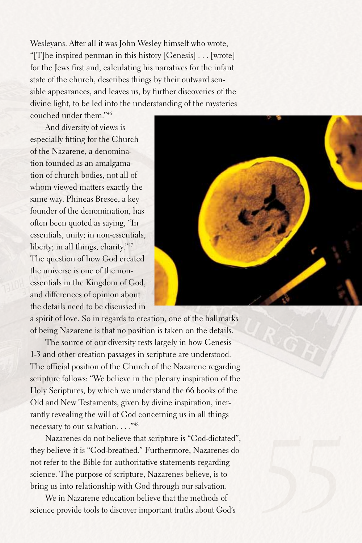Wesleyans.After all it was John Wesley himself who wrote, "[T]he inspired penman in this history [Genesis] ... [wrote] for the Jews first and, calculating his narratives for the infant state of the church, describes things by their outward sensible appearances, and leaves us, by further discoveries of the divine light, to be led into the understanding of the mysteries

couched under them."46

And diversity of views is especially fitting for the Church of the Nazarene, a denomination founded as an amalgamation of church bodies, not all of whom viewed matters exactly the same way. Phineas Bresee, a key founder of the denomination, has often been quoted as saying, "In essentials, unity; in non-essentials, liberty; in all things, charity."47 The question of how God created the universe is one of the nonessentials in the Kingdom of God, and differences of opinion about the details need to be discussed in

a spirit of love. So in regards to creation, one of the hallmarks of being Nazarene is that no position is taken on the details.

The source of our diversity rests largely in how Genesis 1-3 and other creation passages in scripture are understood. The official position of the Church of the Nazarene regarding scripture follows: "We believe in the plenary inspiration of the Holy Scriptures, by which we understand the 66 books of the Old and New Testaments, given by divine inspiration, inerrantly revealing the will of God concerning us in all things necessary to our salvation...."48

Nazarenes do not believe that scripture is "God-dictated"; they believe it is "God-breathed." Furthermore, Nazarenes do not refer to the Bible for authoritative statements regarding science. The purpose of scripture, Nazarenes believe, is to bring us into relationship with God through our salvation.

We in Nazarene education believe that the methods of science provide tools to discover important truths about God's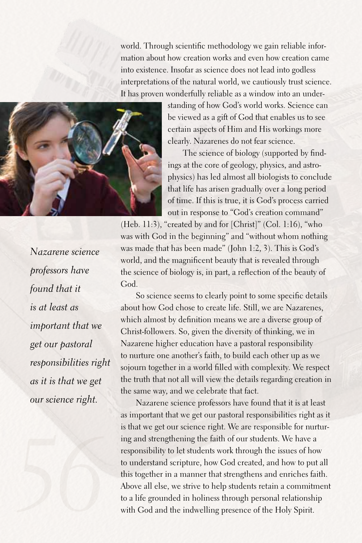world. Through scientific methodology we gain reliable information about how creation works and even how creation came into existence. Insofar as science does not lead into godless interpretations of the natural world, we cautiously trust science. It has proven wonderfully reliable as a window into an under-

clearly. Nazarenes do not fear science.

standing of how God's world works. Science can be viewed as a gift of God that enables us to see certain aspects of Him and His workings more

The science of biology (supported by findings at the core of geology, physics, and astro-



physics) has led almost all biologists to conclude that life has arisen gradually over a long period of time. If this is true, it is God's process carried out in response to "God's creation command" (Heb. 11:3), "created by and for  $[Christ]$ " (Col. 1:16), "who was with God in the beginning" and "without whom nothing was made that has been made" (John 1:2, 3). This is God's world, and the magnificent beauty that is revealed through

the science of biology is, in part, a reflection of the beauty of God. So science seems to clearly point to some specific details about how God chose to create life. Still, we are Nazarenes,

which almost by definition means we are a diverse group of Christ-followers.So, given the diversity of thinking, we in Nazarene higher education have a pastoral responsibility to nurture one another's faith, to build each other up as we sojourn together in a world filled with complexity. We respect the truth that not all will view the details regarding creation in the same way, and we celebrate that fact.

Nazarene science professors have found that it is at least as important that we get our pastoral responsibilities right as it is that we get our science right. We are responsible for nurturing and strengthening the faith of our students. We have a responsibility to let students work through the issues of how to understand scripture, how God created, and how to put all this together in a manner that strengthens and enriches faith. Above all else, we strive to help students retain a commitment to a life grounded in holiness through personal relationship with God and the indwelling presence of the Holy Spirit.

*Nazarene science professors have found that it is at least as important that we get our pastoral responsibilities right as it is that we get our science right.*